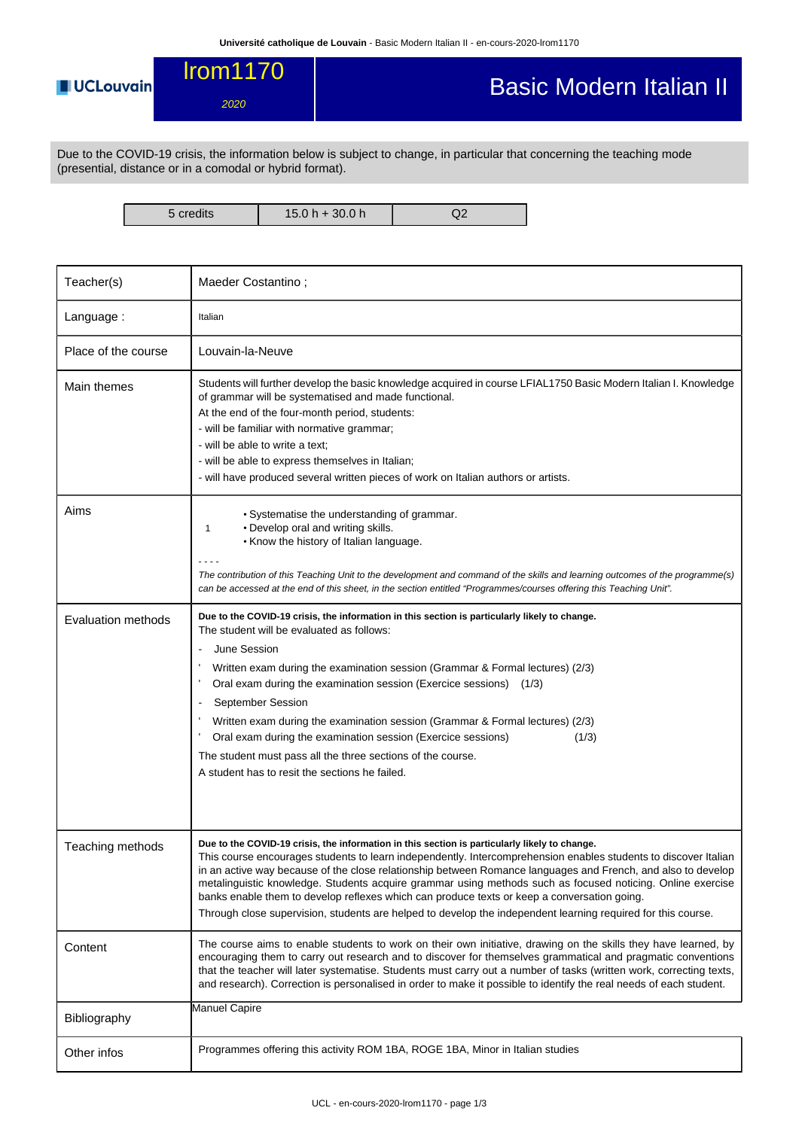Basic Modern Italian II

lrom1170 **UCLouvain** 2020

Due to the COVID-19 crisis, the information below is subject to change, in particular that concerning the teaching mode (presential, distance or in a comodal or hybrid format).

5 credits 15.0 h + 30.0 h Q2

| Teacher(s)                | Maeder Costantino;                                                                                                                                                                                                                                                                                                                                                                                                                                                                                                                                                                                                                                            |  |  |  |  |
|---------------------------|---------------------------------------------------------------------------------------------------------------------------------------------------------------------------------------------------------------------------------------------------------------------------------------------------------------------------------------------------------------------------------------------------------------------------------------------------------------------------------------------------------------------------------------------------------------------------------------------------------------------------------------------------------------|--|--|--|--|
| Language:                 | Italian                                                                                                                                                                                                                                                                                                                                                                                                                                                                                                                                                                                                                                                       |  |  |  |  |
| Place of the course       | Louvain-la-Neuve                                                                                                                                                                                                                                                                                                                                                                                                                                                                                                                                                                                                                                              |  |  |  |  |
| Main themes               | Students will further develop the basic knowledge acquired in course LFIAL1750 Basic Modern Italian I. Knowledge<br>of grammar will be systematised and made functional.<br>At the end of the four-month period, students:<br>- will be familiar with normative grammar;<br>- will be able to write a text;<br>- will be able to express themselves in Italian;<br>- will have produced several written pieces of work on Italian authors or artists.                                                                                                                                                                                                         |  |  |  |  |
| Aims                      | • Systematise the understanding of grammar.<br>• Develop oral and writing skills.<br>1<br>. Know the history of Italian language.<br>The contribution of this Teaching Unit to the development and command of the skills and learning outcomes of the programme(s)<br>can be accessed at the end of this sheet, in the section entitled "Programmes/courses offering this Teaching Unit".                                                                                                                                                                                                                                                                     |  |  |  |  |
| <b>Evaluation methods</b> | Due to the COVID-19 crisis, the information in this section is particularly likely to change.<br>The student will be evaluated as follows:<br>June Session<br>Written exam during the examination session (Grammar & Formal lectures) (2/3)<br>Oral exam during the examination session (Exercice sessions) (1/3)<br>September Session<br>Written exam during the examination session (Grammar & Formal lectures) (2/3)<br>Oral exam during the examination session (Exercice sessions)<br>(1/3)<br>The student must pass all the three sections of the course.<br>A student has to resit the sections he failed.                                             |  |  |  |  |
| Teaching methods          | Due to the COVID-19 crisis, the information in this section is particularly likely to change.<br>This course encourages students to learn independently. Intercomprehension enables students to discover Italian<br>in an active way because of the close relationship between Romance languages and French, and also to develop<br>metalinguistic knowledge. Students acquire grammar using methods such as focused noticing. Online exercise<br>banks enable them to develop reflexes which can produce texts or keep a conversation going.<br>Through close supervision, students are helped to develop the independent learning required for this course. |  |  |  |  |
| Content                   | The course aims to enable students to work on their own initiative, drawing on the skills they have learned, by<br>encouraging them to carry out research and to discover for themselves grammatical and pragmatic conventions<br>that the teacher will later systematise. Students must carry out a number of tasks (written work, correcting texts,<br>and research). Correction is personalised in order to make it possible to identify the real needs of each student.                                                                                                                                                                                   |  |  |  |  |
| Bibliography              | Manuel Capire                                                                                                                                                                                                                                                                                                                                                                                                                                                                                                                                                                                                                                                 |  |  |  |  |
| Other infos               | Programmes offering this activity ROM 1BA, ROGE 1BA, Minor in Italian studies                                                                                                                                                                                                                                                                                                                                                                                                                                                                                                                                                                                 |  |  |  |  |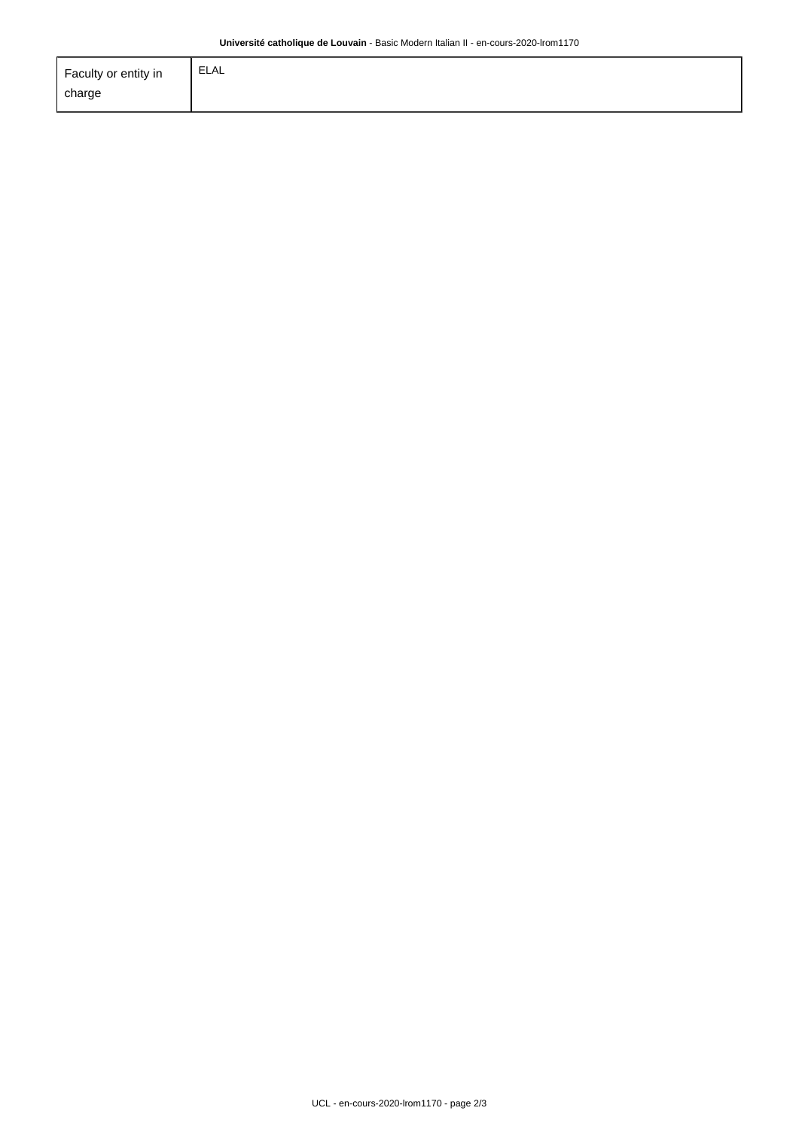| Faculty or entity in | <b>ELAL</b> |
|----------------------|-------------|
| charge               |             |